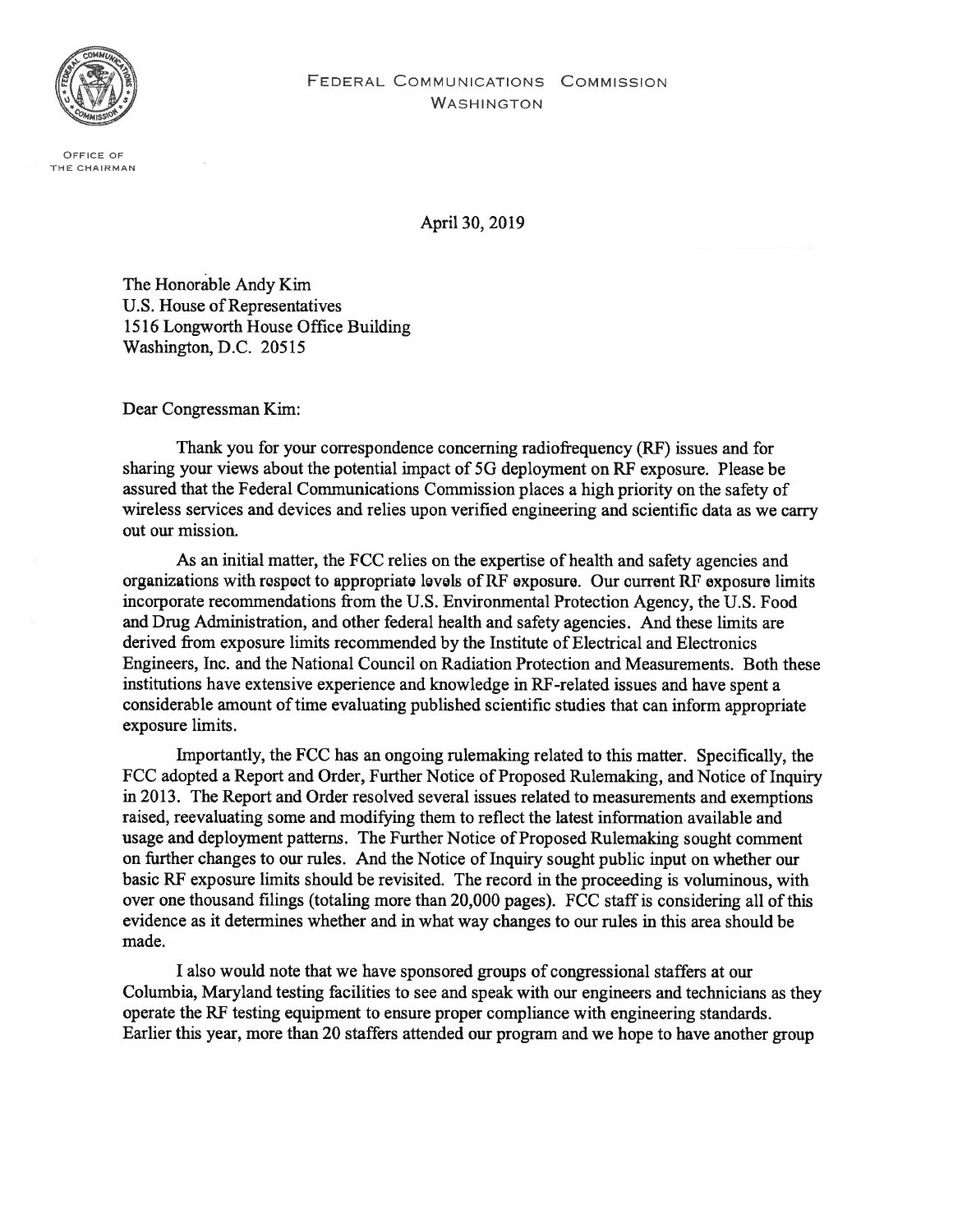

OFFICE OF THE CHAIRMAN

April 30, 2019

The Honorable Andy Kim U.S. House of Representatives 1516 Longworth House Office Building Washington, D.C. 20515

Dear Congressman Kim:

Thank you for your correspondence concerning radiofrequency (RF) issues and for sharing your views about the potential impact of 5G deployment on RF exposure. Please be assured that the Federal Communications Commission places <sup>a</sup> high priority on the safety of wireless services and devices and relies upon verified engineering and scientific data as we carry out our mission.

As an initial matter, the FCC relies on the expertise of health and safety agencies and organizations with respect to appropriate levels of RF exposure. Our current RF exposure limits incorporate recommendations from the U.S. Environmental Protection Agency, the U.S. Food and Drug Administration, and other federal health and safety agencies. And these limits are derived from exposure limits recommended by the Institute of Electrical and Electronics Engineers, Inc. and the National Council on Radiation Protection and Measurements. Both these institutions have extensive experience and knowledge in RF-related issues and have spent a considerable amount of time evaluating published scientific studies that can inform appropriate exposure limits.

Importantly, the FCC has an ongoing rulemaking related to this matter. Specifically, the FCC adopted <sup>a</sup> Report and Order, Further Notice of Proposed Rulemaking, and Notice of Inquiry in 2013. The Report and Order resolved several issues related to measurements and exemptions raised, reevaluating some and modifying them to reflect the latest information available and usage and deployment patterns. The Further Notice of Proposed Rulemaking sought comment on further changes to our rules. And the Notice of Inquiry sought public input on whether our basic RF exposure limits should be revisited. The record in the proceeding is voluminous, with over one thousand filings (totaling more than 20,000 pages). FCC staff is considering all of this evidence as it determines whether and in what way changes to our rules in this area should be made.

I also would note that we have sponsored groups of congressional staffers at our Columbia, Maryland testing facilities to see and speak with our engineers and technicians as they operate the RF testing equipment to ensure proper compliance with engineering standards. Earlier this year, more than 20 staffers attended our program and we hope to have another group